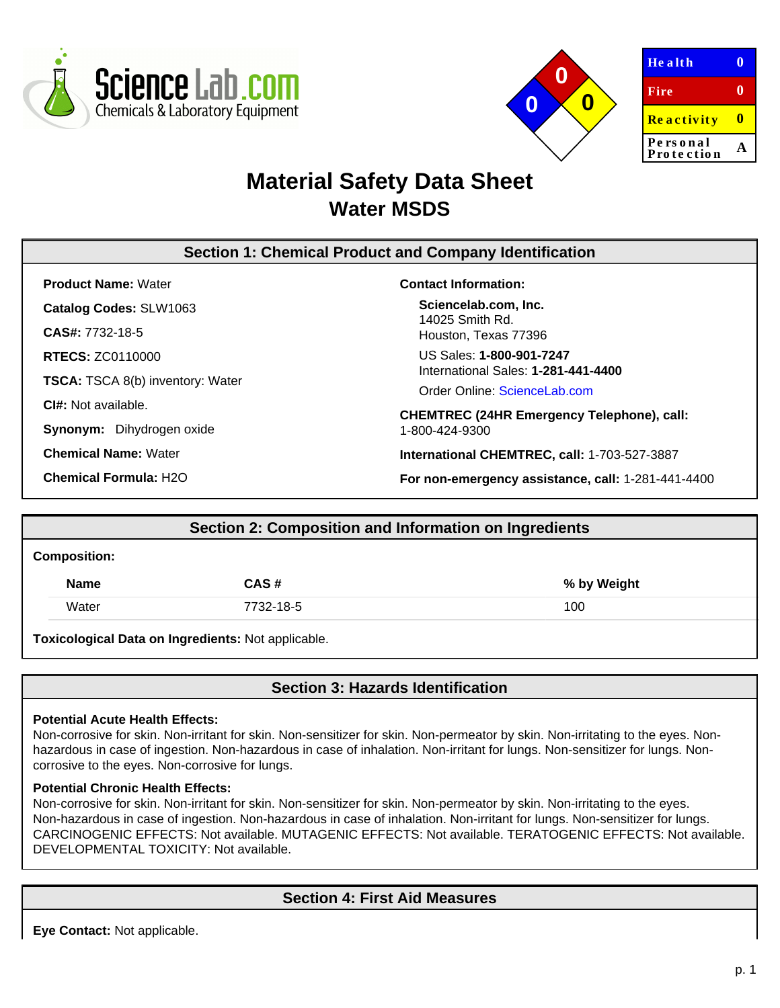



| <b>Health</b>     |   |
|-------------------|---|
| Fire              | o |
| <b>Reactivity</b> | ш |
| Personal          |   |
| Protection        |   |

# **Material Safety Data Sheet Water MSDS**

# **Section 1: Chemical Product and Company Identification**

**Product Name:** Water **Catalog Codes:** SLW1063 **CAS#:** 7732-18-5

**RTECS:** ZC0110000

**TSCA:** TSCA 8(b) inventory: Water

**CI#:** Not available.

**Synonym:** Dihydrogen oxide

**Chemical Name:** Water

**Chemical Formula:** H2O

### **Contact Information:**

**Sciencelab.com, Inc.** 14025 Smith Rd. Houston, Texas 77396

US Sales: **1-800-901-7247** International Sales: **1-281-441-4400**

Order Online: [ScienceLab.com](http://www.sciencelab.com/)

**CHEMTREC (24HR Emergency Telephone), call:** 1-800-424-9300

**International CHEMTREC, call:** 1-703-527-3887

**For non-emergency assistance, call:** 1-281-441-4400

# **Section 2: Composition and Information on Ingredients**

#### **Composition:**

| <b>Name</b> | CAS#      | % by Weight |
|-------------|-----------|-------------|
| Water       | 7732-18-5 | 100         |

**Toxicological Data on Ingredients:** Not applicable.

# **Section 3: Hazards Identification**

### **Potential Acute Health Effects:**

Non-corrosive for skin. Non-irritant for skin. Non-sensitizer for skin. Non-permeator by skin. Non-irritating to the eyes. Nonhazardous in case of ingestion. Non-hazardous in case of inhalation. Non-irritant for lungs. Non-sensitizer for lungs. Noncorrosive to the eyes. Non-corrosive for lungs.

### **Potential Chronic Health Effects:**

Non-corrosive for skin. Non-irritant for skin. Non-sensitizer for skin. Non-permeator by skin. Non-irritating to the eyes. Non-hazardous in case of ingestion. Non-hazardous in case of inhalation. Non-irritant for lungs. Non-sensitizer for lungs. CARCINOGENIC EFFECTS: Not available. MUTAGENIC EFFECTS: Not available. TERATOGENIC EFFECTS: Not available. DEVELOPMENTAL TOXICITY: Not available.

# **Section 4: First Aid Measures**

**Eye Contact:** Not applicable.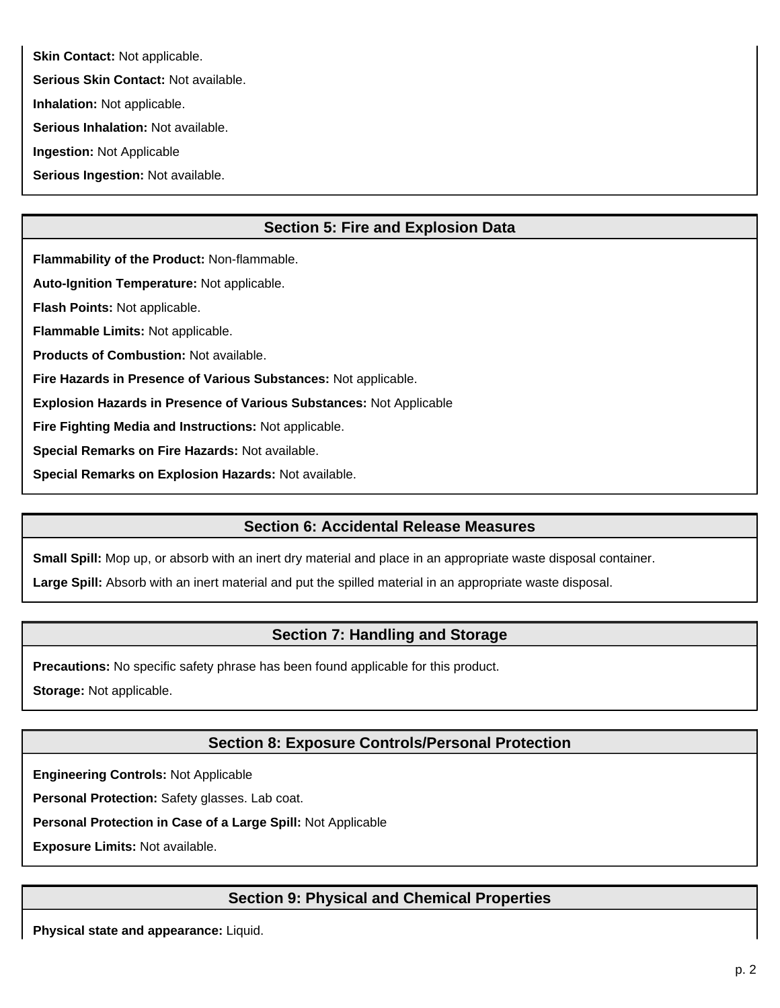**Skin Contact: Not applicable.** 

**Serious Skin Contact:** Not available.

**Inhalation:** Not applicable.

**Serious Inhalation:** Not available.

**Ingestion:** Not Applicable

**Serious Ingestion:** Not available.

# **Section 5: Fire and Explosion Data**

**Flammability of the Product:** Non-flammable.

**Auto-Ignition Temperature:** Not applicable.

**Flash Points:** Not applicable.

**Flammable Limits:** Not applicable.

**Products of Combustion:** Not available.

**Fire Hazards in Presence of Various Substances:** Not applicable.

**Explosion Hazards in Presence of Various Substances:** Not Applicable

**Fire Fighting Media and Instructions:** Not applicable.

**Special Remarks on Fire Hazards:** Not available.

**Special Remarks on Explosion Hazards:** Not available.

### **Section 6: Accidental Release Measures**

**Small Spill:** Mop up, or absorb with an inert dry material and place in an appropriate waste disposal container.

**Large Spill:** Absorb with an inert material and put the spilled material in an appropriate waste disposal.

### **Section 7: Handling and Storage**

**Precautions:** No specific safety phrase has been found applicable for this product.

**Storage:** Not applicable.

# **Section 8: Exposure Controls/Personal Protection**

**Engineering Controls:** Not Applicable

**Personal Protection:** Safety glasses. Lab coat.

**Personal Protection in Case of a Large Spill:** Not Applicable

**Exposure Limits:** Not available.

# **Section 9: Physical and Chemical Properties**

**Physical state and appearance:** Liquid.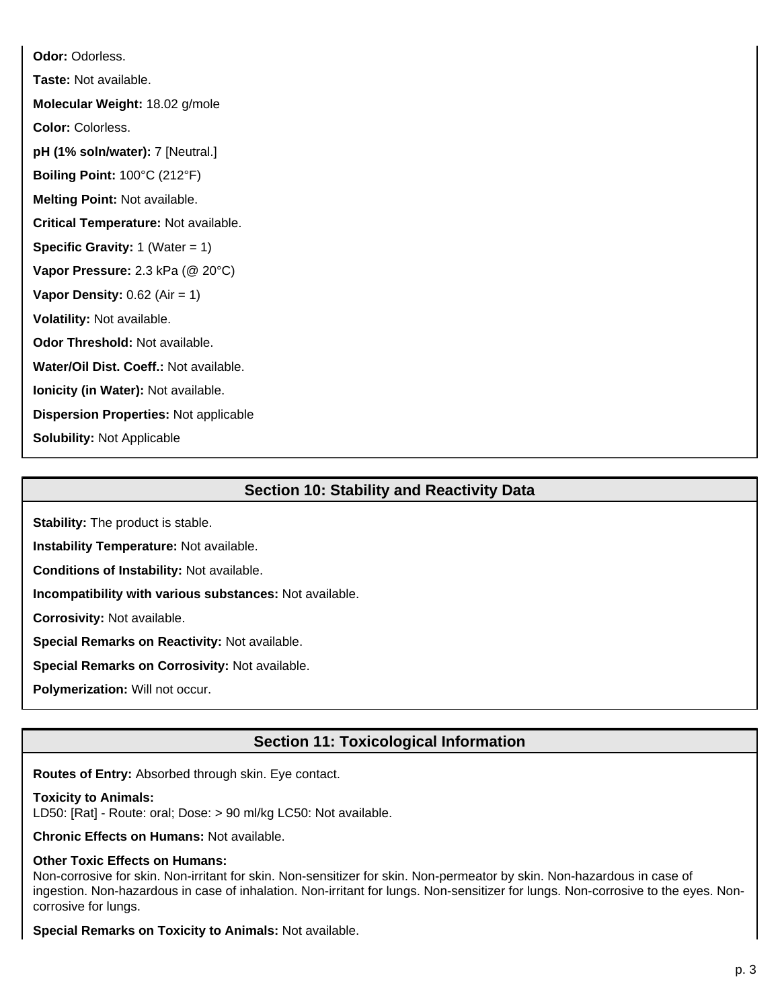**Odor:** Odorless. **Taste:** Not available. **Molecular Weight:** 18.02 g/mole **Color:** Colorless. **pH (1% soln/water):** 7 [Neutral.] **Boiling Point:** 100°C (212°F) **Melting Point:** Not available. **Critical Temperature:** Not available. **Specific Gravity:** 1 (Water = 1) **Vapor Pressure:** 2.3 kPa (@ 20°C) **Vapor Density:** 0.62 (Air = 1) **Volatility:** Not available. **Odor Threshold:** Not available. **Water/Oil Dist. Coeff.:** Not available. **Ionicity (in Water):** Not available. **Dispersion Properties:** Not applicable **Solubility:** Not Applicable

## **Section 10: Stability and Reactivity Data**

**Stability:** The product is stable.

**Instability Temperature:** Not available.

**Conditions of Instability:** Not available.

**Incompatibility with various substances:** Not available.

**Corrosivity:** Not available.

**Special Remarks on Reactivity:** Not available.

**Special Remarks on Corrosivity:** Not available.

**Polymerization:** Will not occur.

### **Section 11: Toxicological Information**

**Routes of Entry:** Absorbed through skin. Eye contact.

#### **Toxicity to Animals:**

LD50: [Rat] - Route: oral; Dose: > 90 ml/kg LC50: Not available.

**Chronic Effects on Humans:** Not available.

#### **Other Toxic Effects on Humans:**

Non-corrosive for skin. Non-irritant for skin. Non-sensitizer for skin. Non-permeator by skin. Non-hazardous in case of ingestion. Non-hazardous in case of inhalation. Non-irritant for lungs. Non-sensitizer for lungs. Non-corrosive to the eyes. Noncorrosive for lungs.

**Special Remarks on Toxicity to Animals:** Not available.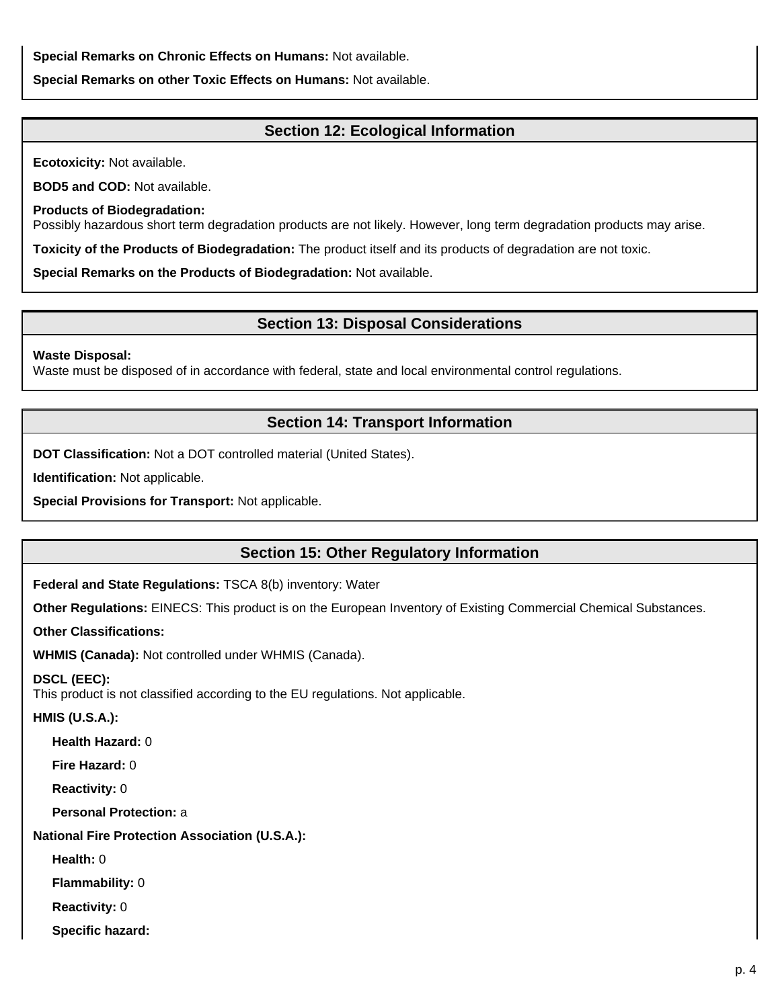**Special Remarks on Chronic Effects on Humans:** Not available.

**Special Remarks on other Toxic Effects on Humans:** Not available.

### **Section 12: Ecological Information**

**Ecotoxicity:** Not available.

**BOD5 and COD:** Not available.

**Products of Biodegradation:**

Possibly hazardous short term degradation products are not likely. However, long term degradation products may arise.

**Toxicity of the Products of Biodegradation:** The product itself and its products of degradation are not toxic.

**Special Remarks on the Products of Biodegradation:** Not available.

### **Section 13: Disposal Considerations**

#### **Waste Disposal:**

Waste must be disposed of in accordance with federal, state and local environmental control regulations.

### **Section 14: Transport Information**

**DOT Classification:** Not a DOT controlled material (United States).

**Identification:** Not applicable.

**Special Provisions for Transport:** Not applicable.

### **Section 15: Other Regulatory Information**

**Federal and State Regulations:** TSCA 8(b) inventory: Water

**Other Regulations:** EINECS: This product is on the European Inventory of Existing Commercial Chemical Substances.

**Other Classifications:**

**WHMIS (Canada):** Not controlled under WHMIS (Canada).

### **DSCL (EEC):**

This product is not classified according to the EU regulations. Not applicable.

### **HMIS (U.S.A.):**

**Health Hazard:** 0

**Fire Hazard:** 0

**Reactivity:** 0

**Personal Protection:** a

### **National Fire Protection Association (U.S.A.):**

**Health:** 0

**Flammability:** 0

**Reactivity:** 0

**Specific hazard:**